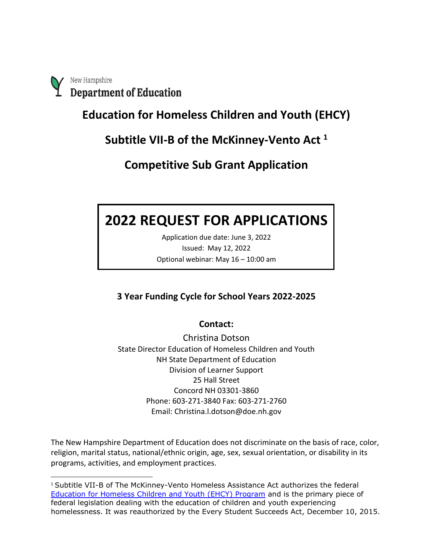New Hampshire **Department of Education** 

**Education for Homeless Children and Youth (EHCY)**

**Subtitle VII-B of the McKinney-Vento Act <sup>1</sup>**

**Competitive Sub Grant Application**

# **2022 REQUEST FOR APPLICATIONS**

Application due date: June 3, 2022 Issued: May 12, 2022 Optional webinar: May 16 – 10:00 am

# **3 Year Funding Cycle for School Years 2022-2025**

# **Contact:**

Christina Dotson State Director Education of Homeless Children and Youth NH State Department of Education Division of Learner Support 25 Hall Street Concord NH 03301-3860 Phone: 603-271-3840 Fax: 603-271-2760 Email: Christina.l.dotson@doe.nh.gov

The New Hampshire Department of Education does not discriminate on the basis of race, color, religion, marital status, national/ethnic origin, age, sex, sexual orientation, or disability in its programs, activities, and employment practices.

<sup>1</sup> Subtitle VII-B of The McKinney-Vento Homeless Assistance Act authorizes the federal [Education for Homeless Children and Youth \(EHCY\) Program](http://center.serve.org/nche/downloads/ehcy_profile.pdf) and is the primary piece of federal legislation dealing with the education of children and youth experiencing homelessness. It was reauthorized by the Every Student Succeeds Act, December 10, 2015.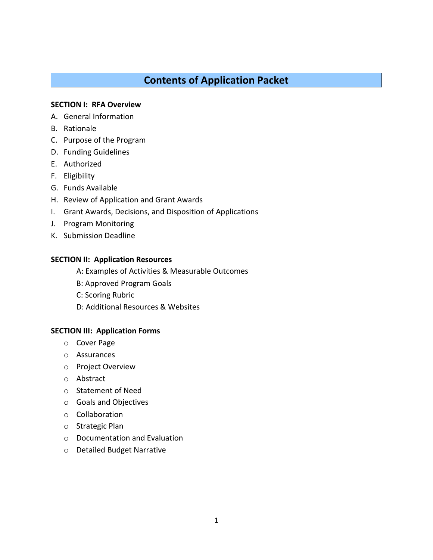# **Contents of Application Packet**

## **SECTION I: RFA Overview**

- A. General Information
- B. Rationale
- C. Purpose of the Program
- D. Funding Guidelines
- E. Authorized
- F. Eligibility
- G. Funds Available
- H. Review of Application and Grant Awards
- I. Grant Awards, Decisions, and Disposition of Applications
- J. Program Monitoring
- K. Submission Deadline

## **SECTION II: Application Resources**

- A: Examples of Activities & Measurable Outcomes
- B: Approved Program Goals
- C: Scoring Rubric
- D: Additional Resources & Websites

## **SECTION III: Application Forms**

- o Cover Page
- o Assurances
- o Project Overview
- o Abstract
- o Statement of Need
- o Goals and Objectives
- o Collaboration
- o Strategic Plan
- o Documentation and Evaluation
- o Detailed Budget Narrative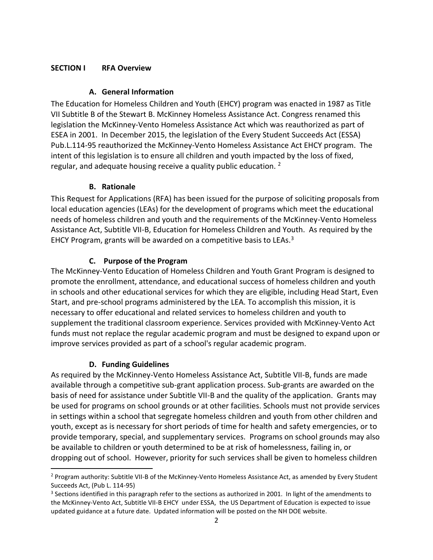## **SECTION I RFA Overview**

## **A. General Information**

The Education for Homeless Children and Youth (EHCY) program was enacted in 1987 as Title VII Subtitle B of the Stewart B. McKinney Homeless Assistance Act. Congress renamed this legislation the McKinney-Vento Homeless Assistance Act which was reauthorized as part of ESEA in 2001. In December 2015, the legislation of the Every Student Succeeds Act (ESSA) Pub.L.114-95 reauthorized the McKinney-Vento Homeless Assistance Act EHCY program. The intent of this legislation is to ensure all children and youth impacted by the loss of fixed, regular, and adequate housing receive a quality public education. <sup>2</sup>

## **B. Rationale**

This Request for Applications (RFA) has been issued for the purpose of soliciting proposals from local education agencies (LEAs) for the development of programs which meet the educational needs of homeless children and youth and the requirements of the McKinney-Vento Homeless Assistance Act, Subtitle VII-B, Education for Homeless Children and Youth. As required by the EHCY Program, grants will be awarded on a competitive basis to LEAs.<sup>3</sup>

## **C. Purpose of the Program**

The McKinney-Vento Education of Homeless Children and Youth Grant Program is designed to promote the enrollment, attendance, and educational success of homeless children and youth in schools and other educational services for which they are eligible, including Head Start, Even Start, and pre-school programs administered by the LEA. To accomplish this mission, it is necessary to offer educational and related services to homeless children and youth to supplement the traditional classroom experience. Services provided with McKinney-Vento Act funds must not replace the regular academic program and must be designed to expand upon or improve services provided as part of a school's regular academic program.

## **D. Funding Guidelines**

As required by the McKinney-Vento Homeless Assistance Act, Subtitle VII-B, funds are made available through a competitive sub-grant application process. Sub-grants are awarded on the basis of need for assistance under Subtitle VII-B and the quality of the application. Grants may be used for programs on school grounds or at other facilities. Schools must not provide services in settings within a school that segregate homeless children and youth from other children and youth, except as is necessary for short periods of time for health and safety emergencies, or to provide temporary, special, and supplementary services. Programs on school grounds may also be available to children or youth determined to be at risk of homelessness, failing in, or dropping out of school. However, priority for such services shall be given to homeless children

<sup>&</sup>lt;sup>2</sup> Program authority: Subtitle VII-B of the McKinney-Vento Homeless Assistance Act, as amended by Every Student Succeeds Act, (Pub L. 114-95)

<sup>&</sup>lt;sup>3</sup> Sections identified in this paragraph refer to the sections as authorized in 2001. In light of the amendments to the McKinney-Vento Act, Subtitle VII-B EHCY under ESSA, the US Department of Education is expected to issue updated guidance at a future date. Updated information will be posted on the NH DOE website.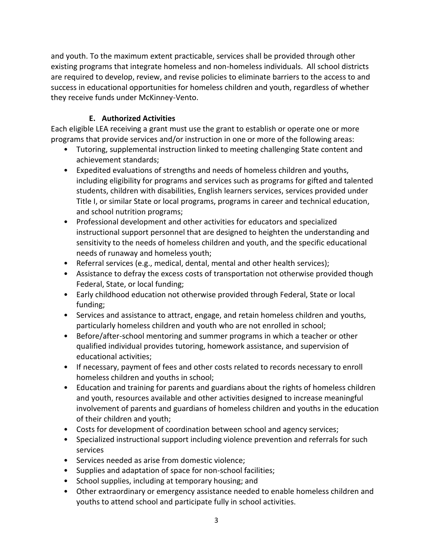and youth. To the maximum extent practicable, services shall be provided through other existing programs that integrate homeless and non-homeless individuals. All school districts are required to develop, review, and revise policies to eliminate barriers to the access to and success in educational opportunities for homeless children and youth, regardless of whether they receive funds under McKinney-Vento.

## **E. Authorized Activities**

Each eligible LEA receiving a grant must use the grant to establish or operate one or more programs that provide services and/or instruction in one or more of the following areas:

- Tutoring, supplemental instruction linked to meeting challenging State content and achievement standards;
- Expedited evaluations of strengths and needs of homeless children and youths, including eligibility for programs and services such as programs for gifted and talented students, children with disabilities, English learners services, services provided under Title I, or similar State or local programs, programs in career and technical education, and school nutrition programs;
- Professional development and other activities for educators and specialized instructional support personnel that are designed to heighten the understanding and sensitivity to the needs of homeless children and youth, and the specific educational needs of runaway and homeless youth;
- Referral services (e.g., medical, dental, mental and other health services);
- Assistance to defray the excess costs of transportation not otherwise provided though Federal, State, or local funding;
- Early childhood education not otherwise provided through Federal, State or local funding;
- Services and assistance to attract, engage, and retain homeless children and youths, particularly homeless children and youth who are not enrolled in school;
- Before/after-school mentoring and summer programs in which a teacher or other qualified individual provides tutoring, homework assistance, and supervision of educational activities;
- If necessary, payment of fees and other costs related to records necessary to enroll homeless children and youths in school;
- Education and training for parents and guardians about the rights of homeless children and youth, resources available and other activities designed to increase meaningful involvement of parents and guardians of homeless children and youths in the education of their children and youth;
- Costs for development of coordination between school and agency services;
- Specialized instructional support including violence prevention and referrals for such services
- Services needed as arise from domestic violence;
- Supplies and adaptation of space for non-school facilities;
- School supplies, including at temporary housing; and
- Other extraordinary or emergency assistance needed to enable homeless children and youths to attend school and participate fully in school activities.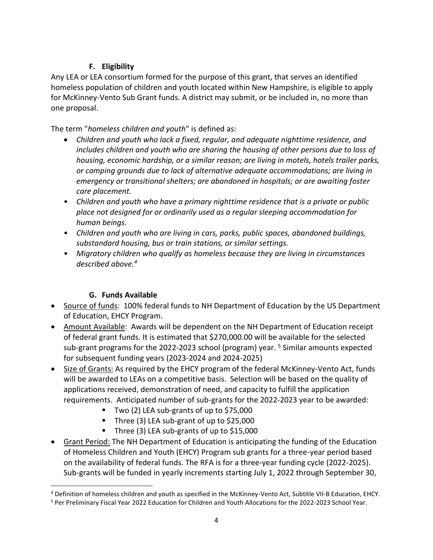## **F. Eligibility**

Any LEA or LEA consortium formed for the purpose of this grant, that serves an identified homeless population of children and youth located within New Hampshire, is eligible to apply for McKinney-Vento Sub Grant funds. A district may submit, or be included in, no more than one proposal.

The term "*homeless children and youth*" is defined as:

- *Children and youth who lack a fixed, regular, and adequate nighttime residence, and includes children and youth who are sharing the housing of other persons due to loss of housing, economic hardship, or a similar reason; are living in motels, hotels trailer parks, or camping grounds due to lack of alternative adequate accommodations; are living in emergency or transitional shelters; are abandoned in hospitals; or are awaiting foster care placement.*
- *Children and youth who have a primary nighttime residence that is a private or public place not designed for or ordinarily used as a regular sleeping accommodation for human beings.*
- *Children and youth who are living in cars, parks, public spaces, abandoned buildings, substandard housing, bus or train stations, or similar settings.*
- *Migratory children who qualify as homeless because they are living in circumstances described above.<sup>4</sup>*

# **G. Funds Available**

- Source of funds: 100% federal funds to NH Department of Education by the US Department of Education, EHCY Program.
- Amount Available: Awards will be dependent on the NH Department of Education receipt of federal grant funds. It is estimated that \$270,000.00 will be available for the selected sub-grant programs for the 2022-2023 school (program) year.  $5$  Similar amounts expected for subsequent funding years (2023-2024 and 2024-2025)
- Size of Grants: As required by the EHCY program of the federal McKinney-Vento Act, funds will be awarded to LEAs on a competitive basis. Selection will be based on the quality of applications received, demonstration of need, and capacity to fulfill the application requirements. Anticipated number of sub-grants for the 2022-2023 year to be awarded:
	- Two (2) LEA sub-grants of up to \$75,000
	- Three (3) LEA sub-grant of up to \$25,000
	- Three (3) LEA sub-grants of up to \$15,000
- Grant Period: The NH Department of Education is anticipating the funding of the Education of Homeless Children and Youth (EHCY) Program sub grants for a three-year period based on the availability of federal funds. The RFA is for a three-year funding cycle (2022-2025). Sub-grants will be funded in yearly increments starting July 1, 2022 through September 30,

<sup>4</sup> Definition of homeless children and youth as specified in the McKinney-Vento Act, Subtitle VII-B Education, EHCY.

<sup>5</sup> Per Preliminary Fiscal Year 2022 Education for Children and Youth Allocations for the 2022-2023 School Year.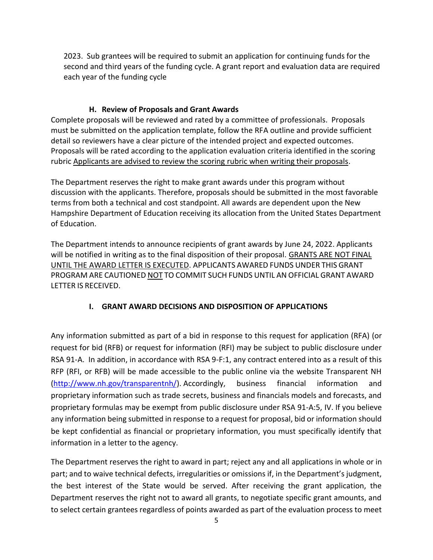2023. Sub grantees will be required to submit an application for continuing funds for the second and third years of the funding cycle. A grant report and evaluation data are required each year of the funding cycle

## **H. Review of Proposals and Grant Awards**

Complete proposals will be reviewed and rated by a committee of professionals. Proposals must be submitted on the application template, follow the RFA outline and provide sufficient detail so reviewers have a clear picture of the intended project and expected outcomes. Proposals will be rated according to the application evaluation criteria identified in the scoring rubric Applicants are advised to review the scoring rubric when writing their proposals.

The Department reserves the right to make grant awards under this program without discussion with the applicants. Therefore, proposals should be submitted in the most favorable terms from both a technical and cost standpoint. All awards are dependent upon the New Hampshire Department of Education receiving its allocation from the United States Department of Education.

The Department intends to announce recipients of grant awards by June 24, 2022. Applicants will be notified in writing as to the final disposition of their proposal. GRANTS ARE NOT FINAL UNTIL THE AWARD LETTER IS EXECUTED. APPLICANTS AWARED FUNDS UNDER THIS GRANT PROGRAM ARE CAUTIONED NOT TO COMMIT SUCH FUNDS UNTIL AN OFFICIAL GRANT AWARD LETTER IS RECEIVED.

## **I. GRANT AWARD DECISIONS AND DISPOSITION OF APPLICATIONS**

Any information submitted as part of a bid in response to this request for application (RFA) (or request for bid (RFB) or request for information (RFI) may be subject to public disclosure under RSA 91-A. In addition, in accordance with RSA 9-F:1, any contract entered into as a result of this RFP (RFI, or RFB) will be made accessible to the public online via the website Transparent NH [\(http://www.nh.gov/transparentnh/\)](http://www.nh.gov/transparentnh/). Accordingly, business financial information and proprietary information such as trade secrets, business and financials models and forecasts, and proprietary formulas may be exempt from public disclosure under RSA 91-A:5, IV. If you believe any information being submitted in response to a request for proposal, bid or information should be kept confidential as financial or proprietary information, you must specifically identify that information in a letter to the agency.

The Department reserves the right to award in part; reject any and all applications in whole or in part; and to waive technical defects, irregularities or omissions if, in the Department's judgment, the best interest of the State would be served. After receiving the grant application, the Department reserves the right not to award all grants, to negotiate specific grant amounts, and to select certain grantees regardless of points awarded as part of the evaluation process to meet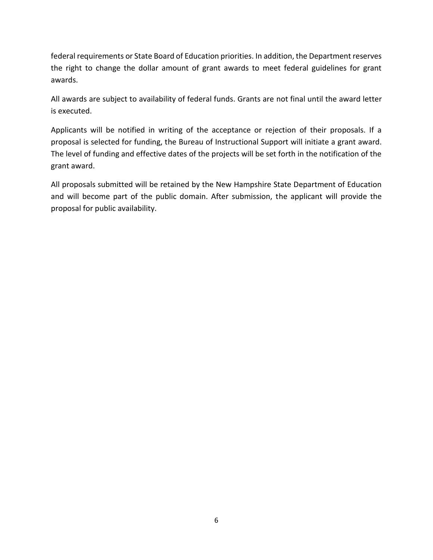federal requirements or State Board of Education priorities. In addition, the Department reserves the right to change the dollar amount of grant awards to meet federal guidelines for grant awards.

All awards are subject to availability of federal funds. Grants are not final until the award letter is executed.

Applicants will be notified in writing of the acceptance or rejection of their proposals. If a proposal is selected for funding, the Bureau of Instructional Support will initiate a grant award. The level of funding and effective dates of the projects will be set forth in the notification of the grant award.

All proposals submitted will be retained by the New Hampshire State Department of Education and will become part of the public domain. After submission, the applicant will provide the proposal for public availability.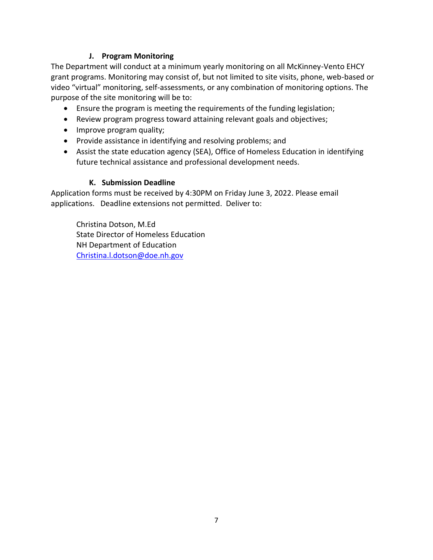## **J. Program Monitoring**

The Department will conduct at a minimum yearly monitoring on all McKinney-Vento EHCY grant programs. Monitoring may consist of, but not limited to site visits, phone, web-based or video "virtual" monitoring, self-assessments, or any combination of monitoring options. The purpose of the site monitoring will be to:

- Ensure the program is meeting the requirements of the funding legislation;
- Review program progress toward attaining relevant goals and objectives;
- Improve program quality;
- Provide assistance in identifying and resolving problems; and
- Assist the state education agency (SEA), Office of Homeless Education in identifying future technical assistance and professional development needs.

## **K. Submission Deadline**

Application forms must be received by 4:30PM on Friday June 3, 2022. Please email applications. Deadline extensions not permitted. Deliver to:

Christina Dotson, M.Ed State Director of Homeless Education NH Department of Education [Christina.l.dotson@doe.nh.gov](mailto:Christina.l.dotson@doe.nh.gov)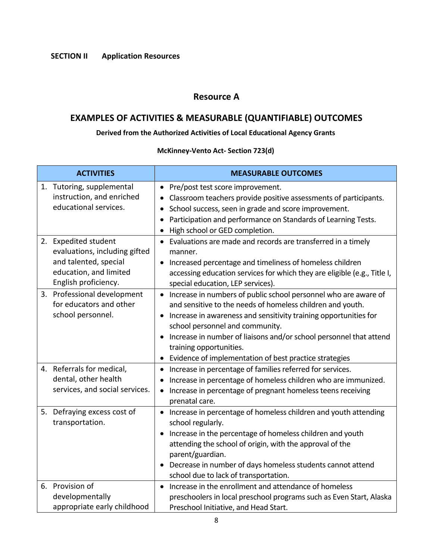## **Resource A**

# **EXAMPLES OF ACTIVITIES & MEASURABLE (QUANTIFIABLE) OUTCOMES**

## **Derived from the Authorized Activities of Local Educational Agency Grants**

## **McKinney-Vento Act- Section 723(d)**

| <b>ACTIVITIES</b>                                                                                                                | <b>MEASURABLE OUTCOMES</b>                                                                                                                                                                                                                                                                                                                                                                      |
|----------------------------------------------------------------------------------------------------------------------------------|-------------------------------------------------------------------------------------------------------------------------------------------------------------------------------------------------------------------------------------------------------------------------------------------------------------------------------------------------------------------------------------------------|
| 1. Tutoring, supplemental<br>instruction, and enriched<br>educational services.                                                  | Pre/post test score improvement.<br>$\bullet$<br>Classroom teachers provide positive assessments of participants.<br>School success, seen in grade and score improvement.<br>Participation and performance on Standards of Learning Tests.<br>High school or GED completion.                                                                                                                    |
| 2. Expedited student<br>evaluations, including gifted<br>and talented, special<br>education, and limited<br>English proficiency. | Evaluations are made and records are transferred in a timely<br>manner.<br>Increased percentage and timeliness of homeless children<br>accessing education services for which they are eligible (e.g., Title I,<br>special education, LEP services).                                                                                                                                            |
| 3. Professional development<br>for educators and other<br>school personnel.                                                      | Increase in numbers of public school personnel who are aware of<br>and sensitive to the needs of homeless children and youth.<br>Increase in awareness and sensitivity training opportunities for<br>school personnel and community.<br>Increase in number of liaisons and/or school personnel that attend<br>training opportunities.<br>Evidence of implementation of best practice strategies |
| 4. Referrals for medical,<br>dental, other health<br>services, and social services.                                              | Increase in percentage of families referred for services.<br>$\bullet$<br>Increase in percentage of homeless children who are immunized.<br>Increase in percentage of pregnant homeless teens receiving<br>$\bullet$<br>prenatal care.                                                                                                                                                          |
| 5. Defraying excess cost of<br>transportation.                                                                                   | Increase in percentage of homeless children and youth attending<br>school regularly.<br>Increase in the percentage of homeless children and youth<br>attending the school of origin, with the approval of the<br>parent/guardian.<br>Decrease in number of days homeless students cannot attend<br>school due to lack of transportation.                                                        |
| 6. Provision of<br>developmentally<br>appropriate early childhood                                                                | Increase in the enrollment and attendance of homeless<br>preschoolers in local preschool programs such as Even Start, Alaska<br>Preschool Initiative, and Head Start.                                                                                                                                                                                                                           |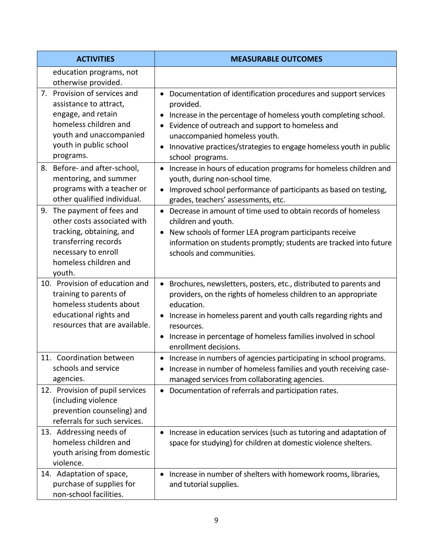| <b>ACTIVITIES</b>                                                                                                                                                       | <b>MEASURABLE OUTCOMES</b>                                                                                                                                                                                                                                                                                                                                |
|-------------------------------------------------------------------------------------------------------------------------------------------------------------------------|-----------------------------------------------------------------------------------------------------------------------------------------------------------------------------------------------------------------------------------------------------------------------------------------------------------------------------------------------------------|
| education programs, not<br>otherwise provided.                                                                                                                          |                                                                                                                                                                                                                                                                                                                                                           |
| 7. Provision of services and<br>assistance to attract,<br>engage, and retain<br>homeless children and<br>youth and unaccompanied<br>youth in public school<br>programs. | Documentation of identification procedures and support services<br>provided.<br>Increase in the percentage of homeless youth completing school.<br>Evidence of outreach and support to homeless and<br>unaccompanied homeless youth.<br>Innovative practices/strategies to engage homeless youth in public<br>$\bullet$<br>school programs.               |
| 8. Before- and after-school,<br>mentoring, and summer<br>programs with a teacher or<br>other qualified individual.                                                      | Increase in hours of education programs for homeless children and<br>$\bullet$<br>youth, during non-school time.<br>Improved school performance of participants as based on testing,<br>$\bullet$<br>grades, teachers' assessments, etc.                                                                                                                  |
| 9. The payment of fees and<br>other costs associated with<br>tracking, obtaining, and<br>transferring records<br>necessary to enroll<br>homeless children and<br>youth. | • Decrease in amount of time used to obtain records of homeless<br>children and youth.<br>New schools of former LEA program participants receive<br>$\bullet$<br>information on students promptly; students are tracked into future<br>schools and communities.                                                                                           |
| 10. Provision of education and<br>training to parents of<br>homeless students about<br>educational rights and<br>resources that are available.                          | Brochures, newsletters, posters, etc., distributed to parents and<br>$\bullet$<br>providers, on the rights of homeless children to an appropriate<br>education.<br>Increase in homeless parent and youth calls regarding rights and<br>resources.<br>Increase in percentage of homeless families involved in school<br>$\bullet$<br>enrollment decisions. |
| 11. Coordination between<br>schools and service<br>agencies.                                                                                                            | Increase in numbers of agencies participating in school programs.<br>$\bullet$<br>Increase in number of homeless families and youth receiving case-<br>managed services from collaborating agencies.                                                                                                                                                      |
| 12. Provision of pupil services<br>(including violence<br>prevention counseling) and<br>referrals for such services.                                                    | Documentation of referrals and participation rates.                                                                                                                                                                                                                                                                                                       |
| 13. Addressing needs of<br>homeless children and<br>youth arising from domestic<br>violence.                                                                            | Increase in education services (such as tutoring and adaptation of<br>space for studying) for children at domestic violence shelters.                                                                                                                                                                                                                     |
| 14. Adaptation of space,<br>purchase of supplies for<br>non-school facilities.                                                                                          | Increase in number of shelters with homework rooms, libraries,<br>and tutorial supplies.                                                                                                                                                                                                                                                                  |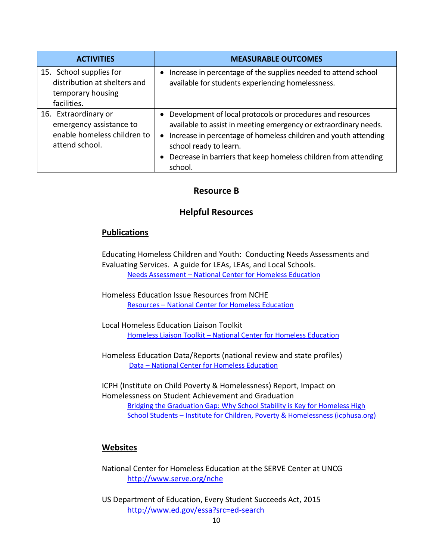| <b>ACTIVITIES</b>                                                                                | <b>MEASURABLE OUTCOMES</b>                                                                                                                                                                                                                                                                                      |
|--------------------------------------------------------------------------------------------------|-----------------------------------------------------------------------------------------------------------------------------------------------------------------------------------------------------------------------------------------------------------------------------------------------------------------|
| 15. School supplies for<br>distribution at shelters and<br>temporary housing<br>facilities.      | • Increase in percentage of the supplies needed to attend school<br>available for students experiencing homelessness.                                                                                                                                                                                           |
| 16. Extraordinary or<br>emergency assistance to<br>enable homeless children to<br>attend school. | • Development of local protocols or procedures and resources<br>available to assist in meeting emergency or extraordinary needs.<br>• Increase in percentage of homeless children and youth attending<br>school ready to learn.<br>• Decrease in barriers that keep homeless children from attending<br>school. |

## **Resource B**

## **Helpful Resources**

## **Publications**

Educating Homeless Children and Youth: Conducting Needs Assessments and Evaluating Services. A guide for LEAs, LEAs, and Local Schools. Needs Assessment – [National Center for Homeless Education](https://nche.ed.gov/needs-assessment/)

Homeless Education Issue Resources from NCHE Resources – [National Center for Homeless Education](https://nche.ed.gov/resources/)

Local Homeless Education Liaison Toolkit Homeless Liaison Toolkit – [National Center for Homeless Education](https://nche.ed.gov/homeless-liaison-toolkit/)

Homeless Education Data/Reports (national review and state profiles) Data – [National Center for Homeless Education](https://nche.ed.gov/data/)

ICPH (Institute on Child Poverty & Homelessness) Report, Impact on Homelessness on Student Achievement and Graduation [Bridging the Graduation Gap: Why School Stability is Key for Homeless High](https://www.icphusa.org/reports/grad-gap/)  School Students – [Institute for Children, Poverty & Homelessness \(icphusa.org\)](https://www.icphusa.org/reports/grad-gap/)

## **Websites**

National Center for Homeless Education at the SERVE Center at UNCG <http://www.serve.org/nche>

US Department of Education, Every Student Succeeds Act, 2015 <http://www.ed.gov/essa?src=ed-search>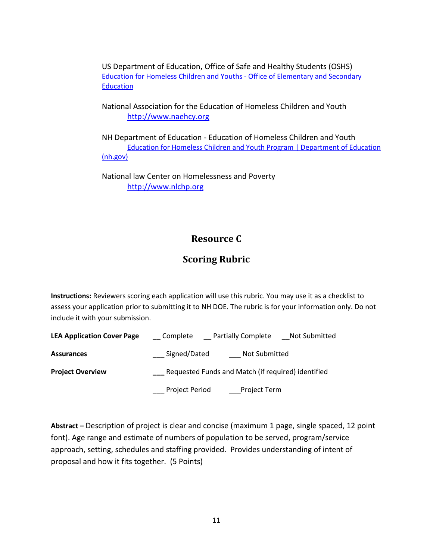US Department of Education, Office of Safe and Healthy Students (OSHS) [Education for Homeless Children and Youths -](https://oese.ed.gov/offices/office-of-formula-grants/school-support-and-accountability/education-for-homeless-children-and-youths-grants-for-state-and-local-activities/) Office of Elementary and Secondary **[Education](https://oese.ed.gov/offices/office-of-formula-grants/school-support-and-accountability/education-for-homeless-children-and-youths-grants-for-state-and-local-activities/)** 

National Association for the Education of Homeless Children and Youth [http://www.naehcy.org](http://www.naehcy.org/)

NH Department of Education - Education of Homeless Children and Youth [Education for Homeless Children and Youth Program | Department of Education](https://www.education.nh.gov/who-we-are/division-of-learner-support/bureau-of-instructional-support/ehcy)  [\(nh.gov\)](https://www.education.nh.gov/who-we-are/division-of-learner-support/bureau-of-instructional-support/ehcy)

National law Center on Homelessness and Poverty [http://www.nlchp.org](http://www.nlchp.org/)

# **Resource C**

# **Scoring Rubric**

**Instructions:** Reviewers scoring each application will use this rubric. You may use it as a checklist to assess your application prior to submitting it to NH DOE. The rubric is for your information only. Do not include it with your submission.

| <b>LEA Application Cover Page</b> | <b>Partially Complete</b><br>Not Submitted<br>__ Complete |
|-----------------------------------|-----------------------------------------------------------|
| <b>Assurances</b>                 | Signed/Dated<br>Not Submitted                             |
| <b>Project Overview</b>           | Requested Funds and Match (if required) identified        |
|                                   | <b>Project Period</b><br>Project Term                     |

**Abstract –** Description of project is clear and concise (maximum 1 page, single spaced, 12 point font). Age range and estimate of numbers of population to be served, program/service approach, setting, schedules and staffing provided. Provides understanding of intent of proposal and how it fits together. (5 Points)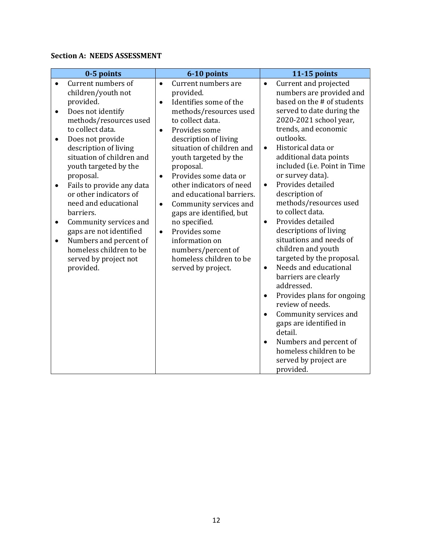## **Section A: NEEDS ASSESSMENT**

| 0-5 points                                                                                                                                                                                                                                                                                                                                                                                                                                                                                                                       | 6-10 points                                                                                                                                                                                                                                                                                                                                                                                                                                                                                                                                                            | 11-15 points                                                                                                                                                                                                                                                                                                                                                                                                                                                                                                                                                                                                                                                                                                                                                                                                                                                                         |
|----------------------------------------------------------------------------------------------------------------------------------------------------------------------------------------------------------------------------------------------------------------------------------------------------------------------------------------------------------------------------------------------------------------------------------------------------------------------------------------------------------------------------------|------------------------------------------------------------------------------------------------------------------------------------------------------------------------------------------------------------------------------------------------------------------------------------------------------------------------------------------------------------------------------------------------------------------------------------------------------------------------------------------------------------------------------------------------------------------------|--------------------------------------------------------------------------------------------------------------------------------------------------------------------------------------------------------------------------------------------------------------------------------------------------------------------------------------------------------------------------------------------------------------------------------------------------------------------------------------------------------------------------------------------------------------------------------------------------------------------------------------------------------------------------------------------------------------------------------------------------------------------------------------------------------------------------------------------------------------------------------------|
| Current numbers of<br>children/youth not<br>provided.<br>Does not identify<br>٠<br>methods/resources used<br>to collect data.<br>Does not provide<br>$\bullet$<br>description of living<br>situation of children and<br>youth targeted by the<br>proposal.<br>Fails to provide any data<br>$\bullet$<br>or other indicators of<br>need and educational<br>barriers.<br>Community services and<br>gaps are not identified<br>Numbers and percent of<br>$\bullet$<br>homeless children to be<br>served by project not<br>provided. | Current numbers are<br>$\bullet$<br>provided.<br>Identifies some of the<br>$\bullet$<br>methods/resources used<br>to collect data.<br>Provides some<br>$\bullet$<br>description of living<br>situation of children and<br>youth targeted by the<br>proposal.<br>Provides some data or<br>$\bullet$<br>other indicators of need<br>and educational barriers.<br>Community services and<br>$\bullet$<br>gaps are identified, but<br>no specified.<br>Provides some<br>$\bullet$<br>information on<br>numbers/percent of<br>homeless children to be<br>served by project. | Current and projected<br>$\bullet$<br>numbers are provided and<br>based on the # of students<br>served to date during the<br>2020-2021 school year,<br>trends, and economic<br>outlooks.<br>Historical data or<br>$\bullet$<br>additional data points<br>included (i.e. Point in Time<br>or survey data).<br>Provides detailed<br>$\bullet$<br>description of<br>methods/resources used<br>to collect data.<br>Provides detailed<br>$\bullet$<br>descriptions of living<br>situations and needs of<br>children and youth<br>targeted by the proposal.<br>Needs and educational<br>$\bullet$<br>barriers are clearly<br>addressed.<br>Provides plans for ongoing<br>$\bullet$<br>review of needs.<br>Community services and<br>$\bullet$<br>gaps are identified in<br>detail.<br>Numbers and percent of<br>$\bullet$<br>homeless children to be<br>served by project are<br>provided. |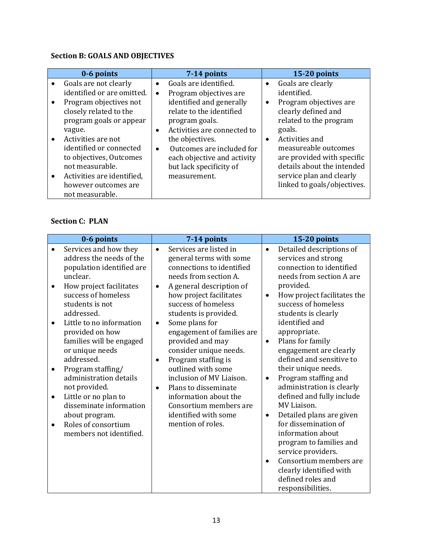## **Section B: GOALS AND OBJECTIVES**

|                        | 0-6 points                                                                                                                                                                     |                        | 7-14 points                                                                                                                                           |                | 15-20 points                                                                                                                                                            |
|------------------------|--------------------------------------------------------------------------------------------------------------------------------------------------------------------------------|------------------------|-------------------------------------------------------------------------------------------------------------------------------------------------------|----------------|-------------------------------------------------------------------------------------------------------------------------------------------------------------------------|
| $\bullet$<br>$\bullet$ | Goals are not clearly<br>identified or are omitted.<br>Program objectives not<br>closely related to the<br>program goals or appear                                             | $\bullet$<br>$\bullet$ | Goals are identified.<br>Program objectives are<br>identified and generally<br>relate to the identified<br>program goals.                             | $\bullet$<br>٠ | Goals are clearly<br>identified.<br>Program objectives are<br>clearly defined and<br>related to the program                                                             |
| $\bullet$              | vague.<br>Activities are not<br>identified or connected<br>to objectives, Outcomes<br>not measurable.<br>Activities are identified,<br>however outcomes are<br>not measurable. | $\bullet$<br>$\bullet$ | Activities are connected to<br>the objectives.<br>Outcomes are included for<br>each objective and activity<br>but lack specificity of<br>measurement. | $\bullet$      | goals.<br>Activities and<br>measureable outcomes<br>are provided with specific<br>details about the intended<br>service plan and clearly<br>linked to goals/objectives. |

## **Section C: PLAN**

| 0-6 points                                                                                                                                                                                                                                                                                                                                                                                                                                                                       | 7-14 points                                                                                                                                                                                                                                                                                                                                                                                                                                                                                                                                                                    | 15-20 points                                                                                                                                                                                                                                                                                                                                                                                                                                                                                                                                                                                                                                                                                       |
|----------------------------------------------------------------------------------------------------------------------------------------------------------------------------------------------------------------------------------------------------------------------------------------------------------------------------------------------------------------------------------------------------------------------------------------------------------------------------------|--------------------------------------------------------------------------------------------------------------------------------------------------------------------------------------------------------------------------------------------------------------------------------------------------------------------------------------------------------------------------------------------------------------------------------------------------------------------------------------------------------------------------------------------------------------------------------|----------------------------------------------------------------------------------------------------------------------------------------------------------------------------------------------------------------------------------------------------------------------------------------------------------------------------------------------------------------------------------------------------------------------------------------------------------------------------------------------------------------------------------------------------------------------------------------------------------------------------------------------------------------------------------------------------|
| Services and how they<br>address the needs of the<br>population identified are<br>unclear.<br>How project facilitates<br>success of homeless<br>students is not<br>addressed.<br>Little to no information<br>provided on how<br>families will be engaged<br>or unique needs<br>addressed.<br>Program staffing/<br>administration details<br>not provided.<br>Little or no plan to<br>disseminate information<br>about program.<br>Roles of consortium<br>members not identified. | Services are listed in<br>$\bullet$<br>general terms with some<br>connections to identified<br>needs from section A.<br>A general description of<br>$\bullet$<br>how project facilitates<br>success of homeless<br>students is provided.<br>Some plans for<br>$\bullet$<br>engagement of families are<br>provided and may<br>consider unique needs.<br>Program staffing is<br>$\bullet$<br>outlined with some<br>inclusion of MV Liaison.<br>Plans to disseminate<br>$\bullet$<br>information about the<br>Consortium members are<br>identified with some<br>mention of roles. | Detailed descriptions of<br>$\bullet$<br>services and strong<br>connection to identified<br>needs from section A are<br>provided.<br>How project facilitates the<br>$\bullet$<br>success of homeless<br>students is clearly<br>identified and<br>appropriate.<br>Plans for family<br>$\bullet$<br>engagement are clearly<br>defined and sensitive to<br>their unique needs.<br>Program staffing and<br>$\bullet$<br>administration is clearly<br>defined and fully include<br>MV Liaison.<br>Detailed plans are given<br>$\bullet$<br>for dissemination of<br>information about<br>program to families and<br>service providers.<br>Consortium members are<br>$\bullet$<br>clearly identified with |
|                                                                                                                                                                                                                                                                                                                                                                                                                                                                                  |                                                                                                                                                                                                                                                                                                                                                                                                                                                                                                                                                                                | defined roles and<br>responsibilities.                                                                                                                                                                                                                                                                                                                                                                                                                                                                                                                                                                                                                                                             |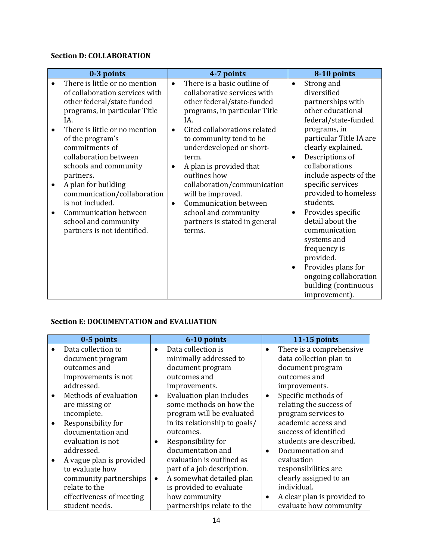## **Section D: COLLABORATION**

## **Section E: DOCUMENTATION and EVALUATION**

| 0-5 points                                                                                                                                                                          | 6-10 points                                                                                                                                                                                                                                       |           | 11-15 points                                                                                                                                                                                                |
|-------------------------------------------------------------------------------------------------------------------------------------------------------------------------------------|---------------------------------------------------------------------------------------------------------------------------------------------------------------------------------------------------------------------------------------------------|-----------|-------------------------------------------------------------------------------------------------------------------------------------------------------------------------------------------------------------|
| Data collection to<br>document program<br>outcomes and<br>improvements is not<br>addressed.                                                                                         | Data collection is<br>$\bullet$<br>minimally addressed to<br>document program<br>outcomes and<br>improvements.                                                                                                                                    | $\bullet$ | There is a comprehensive<br>data collection plan to<br>document program<br>outcomes and<br>improvements.                                                                                                    |
| Methods of evaluation<br>are missing or<br>incomplete.<br>Responsibility for<br>documentation and<br>evaluation is not<br>addressed.<br>A vague plan is provided<br>to evaluate how | Evaluation plan includes<br>$\bullet$<br>some methods on how the<br>program will be evaluated<br>in its relationship to goals/<br>outcomes.<br>Responsibility for<br>documentation and<br>evaluation is outlined as<br>part of a job description. |           | Specific methods of<br>relating the success of<br>program services to<br>academic access and<br>success of identified<br>students are described.<br>Documentation and<br>evaluation<br>responsibilities are |
| community partnerships<br>relate to the<br>effectiveness of meeting<br>student needs.                                                                                               | A somewhat detailed plan<br>$\bullet$<br>is provided to evaluate<br>how community<br>partnerships relate to the                                                                                                                                   |           | clearly assigned to an<br>individual.<br>A clear plan is provided to<br>evaluate how community                                                                                                              |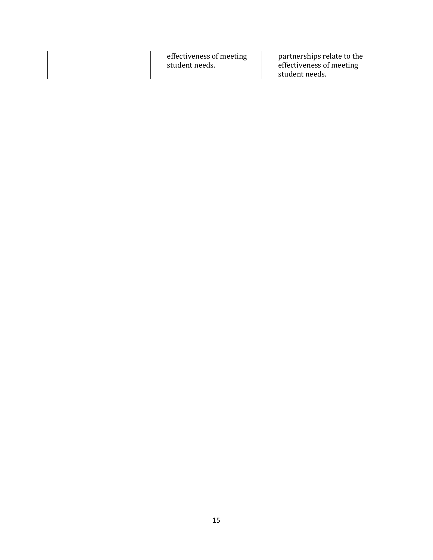| effectiveness of meeting | partnerships relate to the |
|--------------------------|----------------------------|
| student needs.           | effectiveness of meeting   |
|                          | student needs.             |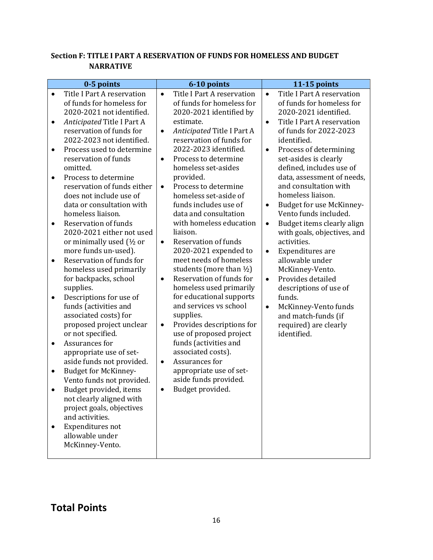## **Section F: TITLE I PART A RESERVATION OF FUNDS FOR HOMELESS AND BUDGET NARRATIVE**

| 0-5 points                                                                                                                                                                                                                                                                                                                                                                                                                                                                                                                                                                                                                                                                                                                                                                                                                                                                                                                                                                                                                                                                                                                              | 6-10 points                                                                                                                                                                                                                                                                                                                                                                                                                                                                                                                                                                                                                                                                                                                                                                                                                                                                                                                                                       | 11-15 points                                                                                                                                                                                                                                                                                                                                                                                                                                                                                                                                                                                                                                                                                                                                                  |
|-----------------------------------------------------------------------------------------------------------------------------------------------------------------------------------------------------------------------------------------------------------------------------------------------------------------------------------------------------------------------------------------------------------------------------------------------------------------------------------------------------------------------------------------------------------------------------------------------------------------------------------------------------------------------------------------------------------------------------------------------------------------------------------------------------------------------------------------------------------------------------------------------------------------------------------------------------------------------------------------------------------------------------------------------------------------------------------------------------------------------------------------|-------------------------------------------------------------------------------------------------------------------------------------------------------------------------------------------------------------------------------------------------------------------------------------------------------------------------------------------------------------------------------------------------------------------------------------------------------------------------------------------------------------------------------------------------------------------------------------------------------------------------------------------------------------------------------------------------------------------------------------------------------------------------------------------------------------------------------------------------------------------------------------------------------------------------------------------------------------------|---------------------------------------------------------------------------------------------------------------------------------------------------------------------------------------------------------------------------------------------------------------------------------------------------------------------------------------------------------------------------------------------------------------------------------------------------------------------------------------------------------------------------------------------------------------------------------------------------------------------------------------------------------------------------------------------------------------------------------------------------------------|
| Title I Part A reservation<br>$\bullet$<br>of funds for homeless for<br>2020-2021 not identified.<br>Anticipated Title I Part A<br>$\bullet$<br>reservation of funds for<br>2022-2023 not identified.<br>Process used to determine<br>٠<br>reservation of funds<br>omitted.<br>Process to determine<br>$\bullet$<br>reservation of funds either<br>does not include use of<br>data or consultation with<br>homeless liaison.<br><b>Reservation of funds</b><br>٠<br>2020-2021 either not used<br>or minimally used (1/2 or<br>more funds un-used).<br>Reservation of funds for<br>$\bullet$<br>homeless used primarily<br>for backpacks, school<br>supplies.<br>Descriptions for use of<br>$\bullet$<br>funds (activities and<br>associated costs) for<br>proposed project unclear<br>or not specified.<br>Assurances for<br>$\bullet$<br>appropriate use of set-<br>aside funds not provided.<br><b>Budget for McKinney-</b><br>$\bullet$<br>Vento funds not provided.<br>Budget provided, items<br>not clearly aligned with<br>project goals, objectives<br>and activities.<br>Expenditures not<br>allowable under<br>McKinney-Vento. | Title I Part A reservation<br>$\bullet$<br>of funds for homeless for<br>2020-2021 identified by<br>estimate.<br>Anticipated Title I Part A<br>$\bullet$<br>reservation of funds for<br>2022-2023 identified.<br>Process to determine<br>$\bullet$<br>homeless set-asides<br>provided.<br>Process to determine<br>$\bullet$<br>homeless set-aside of<br>funds includes use of<br>data and consultation<br>with homeless education<br>liaison.<br><b>Reservation of funds</b><br>$\bullet$<br>2020-2021 expended to<br>meet needs of homeless<br>students (more than $\frac{1}{2}$ )<br>Reservation of funds for<br>$\bullet$<br>homeless used primarily<br>for educational supports<br>and services vs school<br>supplies.<br>Provides descriptions for<br>$\bullet$<br>use of proposed project<br>funds (activities and<br>associated costs).<br>Assurances for<br>$\bullet$<br>appropriate use of set-<br>aside funds provided.<br>Budget provided.<br>$\bullet$ | Title I Part A reservation<br>$\bullet$<br>of funds for homeless for<br>2020-2021 identified.<br>Title I Part A reservation<br>$\bullet$<br>of funds for 2022-2023<br>identified.<br>Process of determining<br>$\bullet$<br>set-asides is clearly<br>defined, includes use of<br>data, assessment of needs,<br>and consultation with<br>homeless liaison.<br>Budget for use McKinney-<br>٠<br>Vento funds included.<br>Budget items clearly align<br>$\bullet$<br>with goals, objectives, and<br>activities.<br>Expenditures are<br>$\bullet$<br>allowable under<br>McKinney-Vento.<br>Provides detailed<br>$\bullet$<br>descriptions of use of<br>funds.<br>McKinney-Vento funds<br>$\bullet$<br>and match-funds (if<br>required) are clearly<br>identified. |

# **Total Points**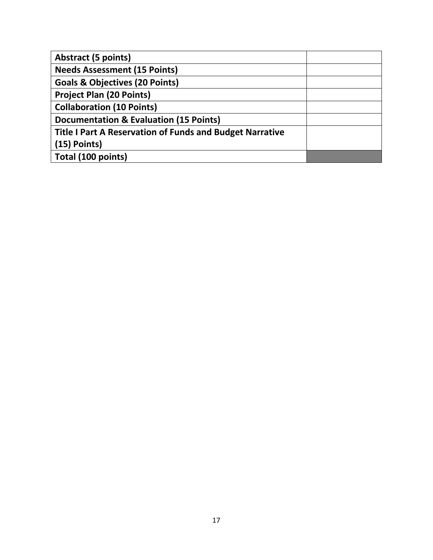| <b>Abstract (5 points)</b>                               |  |
|----------------------------------------------------------|--|
| <b>Needs Assessment (15 Points)</b>                      |  |
| <b>Goals &amp; Objectives (20 Points)</b>                |  |
| <b>Project Plan (20 Points)</b>                          |  |
| <b>Collaboration (10 Points)</b>                         |  |
| <b>Documentation &amp; Evaluation (15 Points)</b>        |  |
| Title I Part A Reservation of Funds and Budget Narrative |  |
| $(15)$ Points)                                           |  |
| Total (100 points)                                       |  |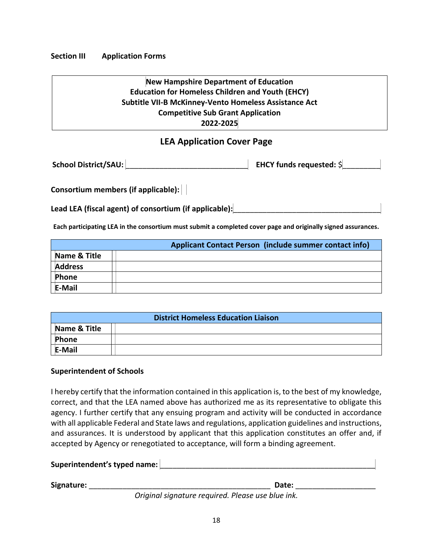**Section III Application Forms**

## **New Hampshire Department of Education Education for Homeless Children and Youth (EHCY) Subtitle VII-B McKinney-Vento Homeless Assistance Act Competitive Sub Grant Application 2022-2025**

## **LEA Application Cover Page**

| School District/SAU: | EHCY funds requested: \$ |
|----------------------|--------------------------|
|----------------------|--------------------------|

**Consortium members (if applicable):** 

Lead LEA (fiscal agent) of consortium (if applicable):

**Each participating LEA in the consortium must submit a completed cover page and originally signed assurances.** 

|                | Applicant Contact Person (include summer contact info) |
|----------------|--------------------------------------------------------|
| Name & Title   |                                                        |
| <b>Address</b> |                                                        |
| Phone          |                                                        |
| E-Mail         |                                                        |

| <b>District Homeless Education Liaison</b> |  |  |
|--------------------------------------------|--|--|
| Name & Title                               |  |  |
| Phone                                      |  |  |
| E-Mail                                     |  |  |

## **Superintendent of Schools**

I hereby certify that the information contained in this application is, to the best of my knowledge, correct, and that the LEA named above has authorized me as its representative to obligate this agency. I further certify that any ensuing program and activity will be conducted in accordance with all applicable Federal and State laws and regulations, application guidelines and instructions, and assurances. It is understood by applicant that this application constitutes an offer and, if accepted by Agency or renegotiated to acceptance, will form a binding agreement.

| Superintendent's typed name: |       |  |  |
|------------------------------|-------|--|--|
|                              |       |  |  |
| Signature:                   | Date: |  |  |

*Original signature required. Please use blue ink.*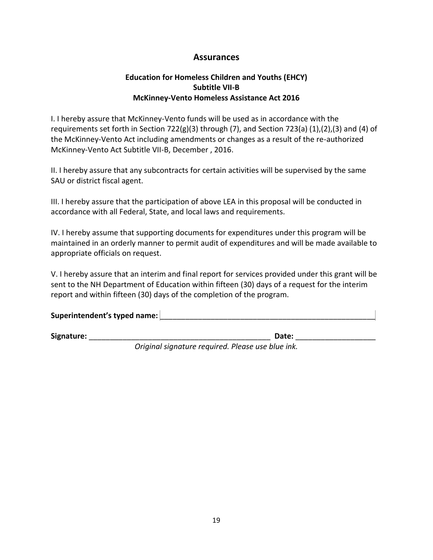## **Assurances**

## **Education for Homeless Children and Youths (EHCY) Subtitle VII-B McKinney-Vento Homeless Assistance Act 2016**

I. I hereby assure that McKinney-Vento funds will be used as in accordance with the requirements set forth in Section 722(g)(3) through (7), and Section 723(a) (1),(2),(3) and (4) of the McKinney-Vento Act including amendments or changes as a result of the re-authorized McKinney-Vento Act Subtitle VII-B, December , 2016.

II. I hereby assure that any subcontracts for certain activities will be supervised by the same SAU or district fiscal agent.

III. I hereby assure that the participation of above LEA in this proposal will be conducted in accordance with all Federal, State, and local laws and requirements.

IV. I hereby assume that supporting documents for expenditures under this program will be maintained in an orderly manner to permit audit of expenditures and will be made available to appropriate officials on request.

V. I hereby assure that an interim and final report for services provided under this grant will be sent to the NH Department of Education within fifteen (30) days of a request for the interim report and within fifteen (30) days of the completion of the program.

| Superintendent's typed name: |  |
|------------------------------|--|
|                              |  |

**Signature:** \_\_\_\_\_\_\_\_\_\_\_\_\_\_\_\_\_\_\_\_\_\_\_\_\_\_\_\_\_\_\_\_\_\_\_\_\_\_\_\_\_\_\_ **Date:** \_\_\_\_\_\_\_\_\_\_\_\_\_\_\_\_\_\_\_

*Original signature required. Please use blue ink.*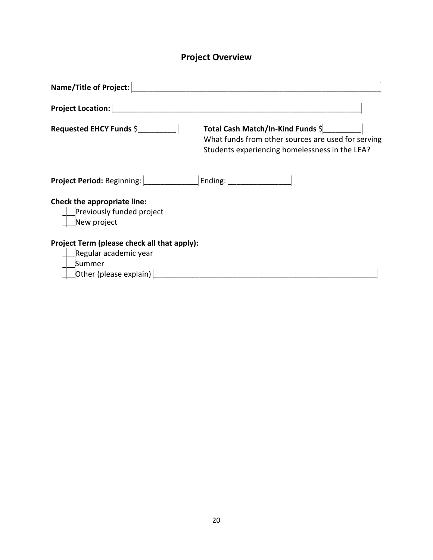# **Project Overview**

| Name/Title of Project:                                                                                   |                                                                                                                                           |  |
|----------------------------------------------------------------------------------------------------------|-------------------------------------------------------------------------------------------------------------------------------------------|--|
| <b>Project Location:</b>                                                                                 |                                                                                                                                           |  |
| Requested EHCY Funds \$                                                                                  | Total Cash Match/In-Kind Funds \$<br>What funds from other sources are used for serving<br>Students experiencing homelessness in the LEA? |  |
| Project Period: Beginning: Ending: Ending:                                                               |                                                                                                                                           |  |
| Check the appropriate line:<br>Previously funded project<br>New project                                  |                                                                                                                                           |  |
| Project Term (please check all that apply):<br>Regular academic year<br>Summer<br>Other (please explain) |                                                                                                                                           |  |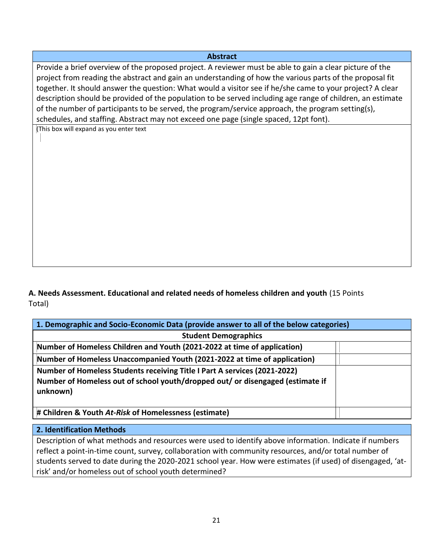## **Abstract**

Provide a brief overview of the proposed project. A reviewer must be able to gain a clear picture of the project from reading the abstract and gain an understanding of how the various parts of the proposal fit together. It should answer the question: What would a visitor see if he/she came to your project? A clear description should be provided of the population to be served including age range of children, an estimate of the number of participants to be served, the program/service approach, the program setting(s), schedules, and staffing. Abstract may not exceed one page (single spaced, 12pt font).

(This box will expand as you enter text

**A. Needs Assessment. Educational and related needs of homeless children and youth** (15 Points Total)

| 1. Demographic and Socio-Economic Data (provide answer to all of the below categories)                                                                                  |  |  |
|-------------------------------------------------------------------------------------------------------------------------------------------------------------------------|--|--|
| <b>Student Demographics</b>                                                                                                                                             |  |  |
| Number of Homeless Children and Youth (2021-2022 at time of application)                                                                                                |  |  |
| Number of Homeless Unaccompanied Youth (2021-2022 at time of application)                                                                                               |  |  |
| Number of Homeless Students receiving Title I Part A services (2021-2022)<br>Number of Homeless out of school youth/dropped out/ or disengaged (estimate if<br>unknown) |  |  |
| # Children & Youth At-Risk of Homelessness (estimate)                                                                                                                   |  |  |

## **2. Identification Methods**

Description of what methods and resources were used to identify above information. Indicate if numbers reflect a point-in-time count, survey, collaboration with community resources, and/or total number of students served to date during the 2020-2021 school year. How were estimates (if used) of disengaged, 'atrisk' and/or homeless out of school youth determined?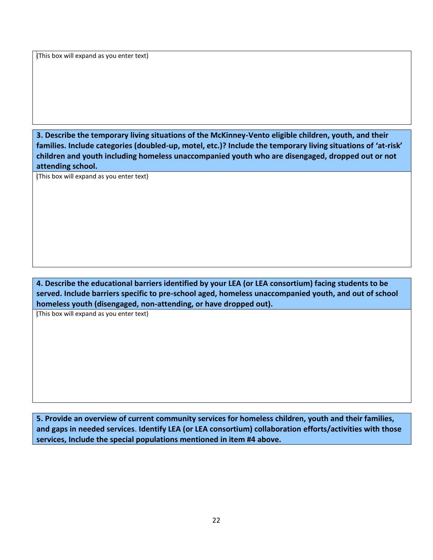(This box will expand as you enter text)

**3. Describe the temporary living situations of the McKinney-Vento eligible children, youth, and their families. Include categories (doubled-up, motel, etc.)? Include the temporary living situations of 'at-risk' children and youth including homeless unaccompanied youth who are disengaged, dropped out or not attending school.**

(This box will expand as you enter text)

**4. Describe the educational barriers identified by your LEA (or LEA consortium) facing students to be served. Include barriers specific to pre-school aged, homeless unaccompanied youth, and out of school homeless youth (disengaged, non-attending, or have dropped out).** 

(This box will expand as you enter text)

**5. Provide an overview of current community services for homeless children, youth and their families, and gaps in needed services**. **Identify LEA (or LEA consortium) collaboration efforts/activities with those services, Include the special populations mentioned in item #4 above.**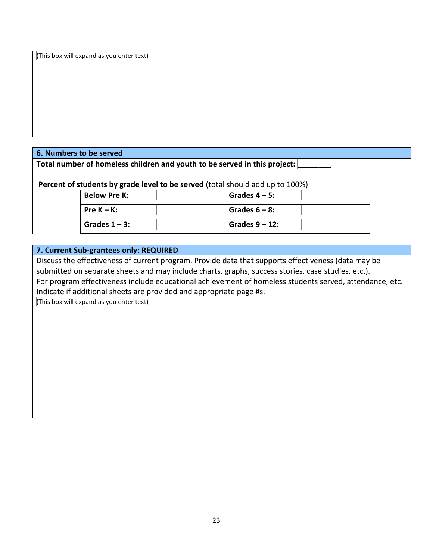(This box will expand as you enter text)

## **6. Numbers to be served**

Total number of homeless children and youth to be served in this project:

**Percent of students by grade level to be served** (total should add up to 100%)

| Below Pre K:         | Grades $4 - 5$ :  |  |
|----------------------|-------------------|--|
| l Pre K – K:         | Grades $6 - 8$ :  |  |
| $\mid$ Grades 1 – 3: | Grades $9 - 12$ : |  |

## **7. Current Sub-grantees only: REQUIRED**

Discuss the effectiveness of current program. Provide data that supports effectiveness (data may be submitted on separate sheets and may include charts, graphs, success stories, case studies, etc.). For program effectiveness include educational achievement of homeless students served, attendance, etc. Indicate if additional sheets are provided and appropriate page #s.

(This box will expand as you enter text)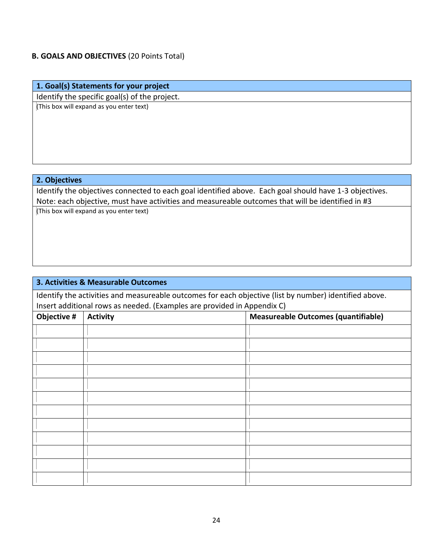## **B. GOALS AND OBJECTIVES** (20 Points Total)

## **1. Goal(s) Statements for your project**

Identify the specific goal(s) of the project.

(This box will expand as you enter text)

## **2. Objectives**

Identify the objectives connected to each goal identified above. Each goal should have 1-3 objectives. Note: each objective, must have activities and measureable outcomes that will be identified in #3

(This box will expand as you enter text)

# **3. Activities & Measurable Outcomes** Identify the activities and measureable outcomes for each objective (list by number) identified above. Insert additional rows as needed. (Examples are provided in Appendix C) **Objective #** Activity **Measureable Outcomes (quantifiable) Measureable Outcomes (quantifiable)**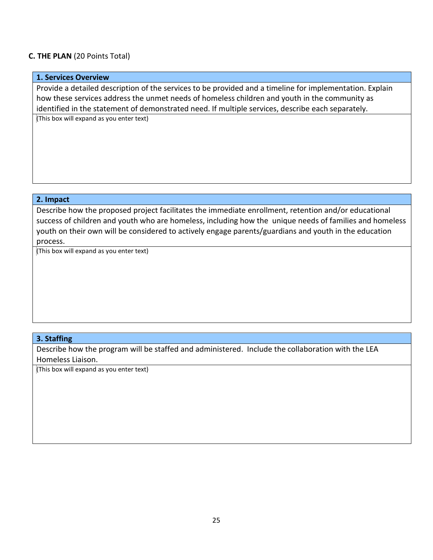## **C. THE PLAN** (20 Points Total)

## **1. Services Overview**

Provide a detailed description of the services to be provided and a timeline for implementation. Explain how these services address the unmet needs of homeless children and youth in the community as identified in the statement of demonstrated need. If multiple services, describe each separately.

(This box will expand as you enter text)

### **2. Impact**

Describe how the proposed project facilitates the immediate enrollment, retention and/or educational success of children and youth who are homeless, including how the unique needs of families and homeless youth on their own will be considered to actively engage parents/guardians and youth in the education process.

(This box will expand as you enter text)

### **3. Staffing**

Describe how the program will be staffed and administered. Include the collaboration with the LEA Homeless Liaison.

(This box will expand as you enter text)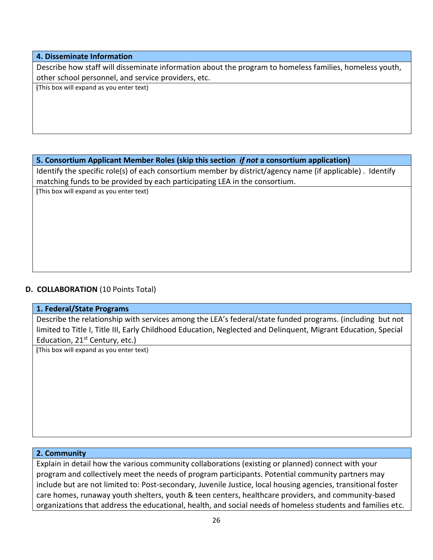**4. Disseminate Information**

Describe how staff will disseminate information about the program to homeless families, homeless youth, other school personnel, and service providers, etc.

(This box will expand as you enter text)

## **5. Consortium Applicant Member Roles (skip this section** *if not* **a consortium application)**

Identify the specific role(s) of each consortium member by district/agency name (if applicable) . Identify matching funds to be provided by each participating LEA in the consortium.

(This box will expand as you enter text)

## **D. COLLABORATION** (10 Points Total)

## **1. Federal/State Programs**

Describe the relationship with services among the LEA's federal/state funded programs. (including but not limited to Title I, Title III, Early Childhood Education, Neglected and Delinquent, Migrant Education, Special Education,  $21^{st}$  Century, etc.)

(This box will expand as you enter text)

## **2. Community**

Explain in detail how the various community collaborations (existing or planned) connect with your program and collectively meet the needs of program participants. Potential community partners may include but are not limited to: Post-secondary, Juvenile Justice, local housing agencies, transitional foster care homes, runaway youth shelters, youth & teen centers, healthcare providers, and community-based organizations that address the educational, health, and social needs of homeless students and families etc.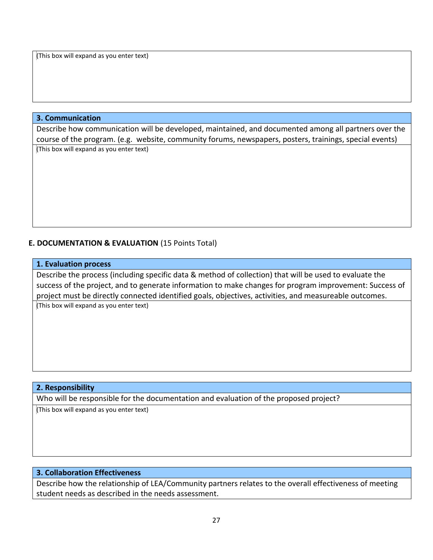(This box will expand as you enter text)

## **3. Communication**

Describe how communication will be developed, maintained, and documented among all partners over the course of the program. (e.g. website, community forums, newspapers, posters, trainings, special events) (This box will expand as you enter text)

## **E. DOCUMENTATION & EVALUATION** (15 Points Total)

### **1. Evaluation process**

Describe the process (including specific data & method of collection) that will be used to evaluate the success of the project, and to generate information to make changes for program improvement: Success of project must be directly connected identified goals, objectives, activities, and measureable outcomes.

(This box will expand as you enter text)

### **2. Responsibility**

Who will be responsible for the documentation and evaluation of the proposed project?

(This box will expand as you enter text)

## **3. Collaboration Effectiveness**

Describe how the relationship of LEA/Community partners relates to the overall effectiveness of meeting student needs as described in the needs assessment.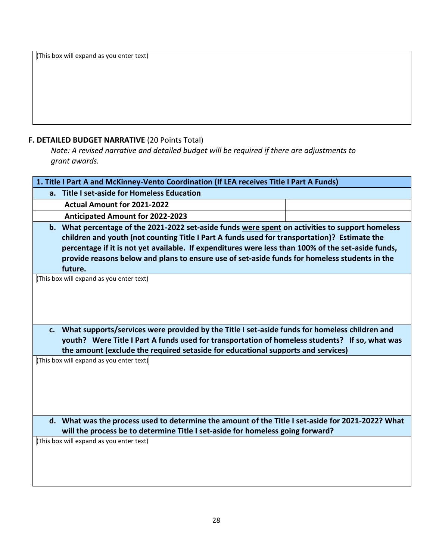(This box will expand as you enter text)

## **F. DETAILED BUDGET NARRATIVE** (20 Points Total)

*Note: A revised narrative and detailed budget will be required if there are adjustments to grant awards.* 

|                                                                                                                                                                                                                                                                                                                                                                                                                                                                | 1. Title I Part A and McKinney-Vento Coordination (If LEA receives Title I Part A Funds)                                                                                            |  |  |
|----------------------------------------------------------------------------------------------------------------------------------------------------------------------------------------------------------------------------------------------------------------------------------------------------------------------------------------------------------------------------------------------------------------------------------------------------------------|-------------------------------------------------------------------------------------------------------------------------------------------------------------------------------------|--|--|
|                                                                                                                                                                                                                                                                                                                                                                                                                                                                | a. Title I set-aside for Homeless Education                                                                                                                                         |  |  |
|                                                                                                                                                                                                                                                                                                                                                                                                                                                                | <b>Actual Amount for 2021-2022</b>                                                                                                                                                  |  |  |
|                                                                                                                                                                                                                                                                                                                                                                                                                                                                | <b>Anticipated Amount for 2022-2023</b>                                                                                                                                             |  |  |
| b. What percentage of the 2021-2022 set-aside funds were spent on activities to support homeless<br>children and youth (not counting Title I Part A funds used for transportation)? Estimate the<br>percentage if it is not yet available. If expenditures were less than 100% of the set-aside funds,<br>provide reasons below and plans to ensure use of set-aside funds for homeless students in the<br>future.<br>(This box will expand as you enter text) |                                                                                                                                                                                     |  |  |
| c. What supports/services were provided by the Title I set-aside funds for homeless children and<br>youth? Were Title I Part A funds used for transportation of homeless students? If so, what was<br>the amount (exclude the required setaside for educational supports and services)                                                                                                                                                                         |                                                                                                                                                                                     |  |  |
|                                                                                                                                                                                                                                                                                                                                                                                                                                                                | (This box will expand as you enter text)                                                                                                                                            |  |  |
|                                                                                                                                                                                                                                                                                                                                                                                                                                                                | d. What was the process used to determine the amount of the Title I set-aside for 2021-2022? What<br>will the process be to determine Title I set-aside for homeless going forward? |  |  |
|                                                                                                                                                                                                                                                                                                                                                                                                                                                                | (This box will expand as you enter text)                                                                                                                                            |  |  |